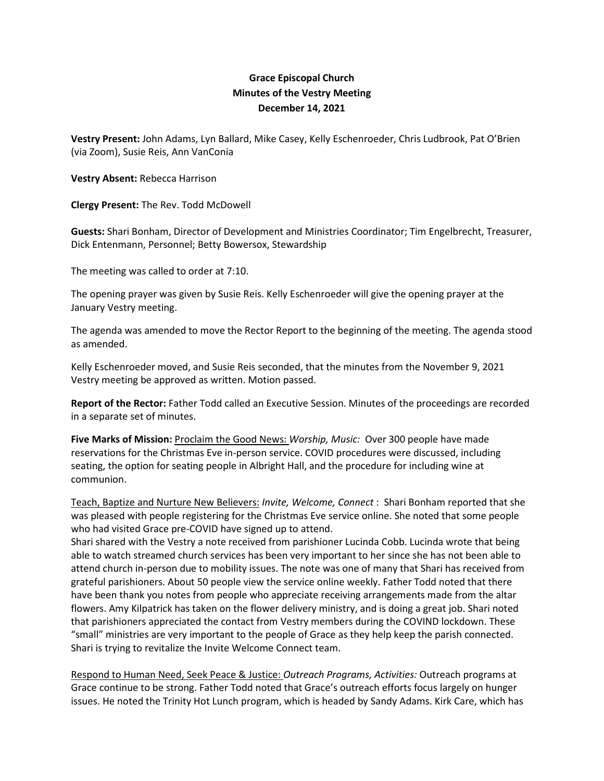## **Grace Episcopal Church Minutes of the Vestry Meeting December 14, 2021**

**Vestry Present:** John Adams, Lyn Ballard, Mike Casey, Kelly Eschenroeder, Chris Ludbrook, Pat O'Brien (via Zoom), Susie Reis, Ann VanConia

**Vestry Absent:** Rebecca Harrison

**Clergy Present:** The Rev. Todd McDowell

**Guests:** Shari Bonham, Director of Development and Ministries Coordinator; Tim Engelbrecht, Treasurer, Dick Entenmann, Personnel; Betty Bowersox, Stewardship

The meeting was called to order at 7:10.

The opening prayer was given by Susie Reis. Kelly Eschenroeder will give the opening prayer at the January Vestry meeting.

The agenda was amended to move the Rector Report to the beginning of the meeting. The agenda stood as amended.

Kelly Eschenroeder moved, and Susie Reis seconded, that the minutes from the November 9, 2021 Vestry meeting be approved as written. Motion passed.

**Report of the Rector:** Father Todd called an Executive Session. Minutes of the proceedings are recorded in a separate set of minutes.

**Five Marks of Mission:** Proclaim the Good News: *Worship, Music:* Over 300 people have made reservations for the Christmas Eve in-person service. COVID procedures were discussed, including seating, the option for seating people in Albright Hall, and the procedure for including wine at communion.

Teach, Baptize and Nurture New Believers: *Invite, Welcome, Connect* : Shari Bonham reported that she was pleased with people registering for the Christmas Eve service online. She noted that some people who had visited Grace pre-COVID have signed up to attend.

Shari shared with the Vestry a note received from parishioner Lucinda Cobb. Lucinda wrote that being able to watch streamed church services has been very important to her since she has not been able to attend church in-person due to mobility issues. The note was one of many that Shari has received from grateful parishioners. About 50 people view the service online weekly. Father Todd noted that there have been thank you notes from people who appreciate receiving arrangements made from the altar flowers. Amy Kilpatrick has taken on the flower delivery ministry, and is doing a great job. Shari noted that parishioners appreciated the contact from Vestry members during the COVIND lockdown. These "small" ministries are very important to the people of Grace as they help keep the parish connected. Shari is trying to revitalize the Invite Welcome Connect team.

Respond to Human Need, Seek Peace & Justice: *Outreach Programs, Activities:* Outreach programs at Grace continue to be strong. Father Todd noted that Grace's outreach efforts focus largely on hunger issues. He noted the Trinity Hot Lunch program, which is headed by Sandy Adams. Kirk Care, which has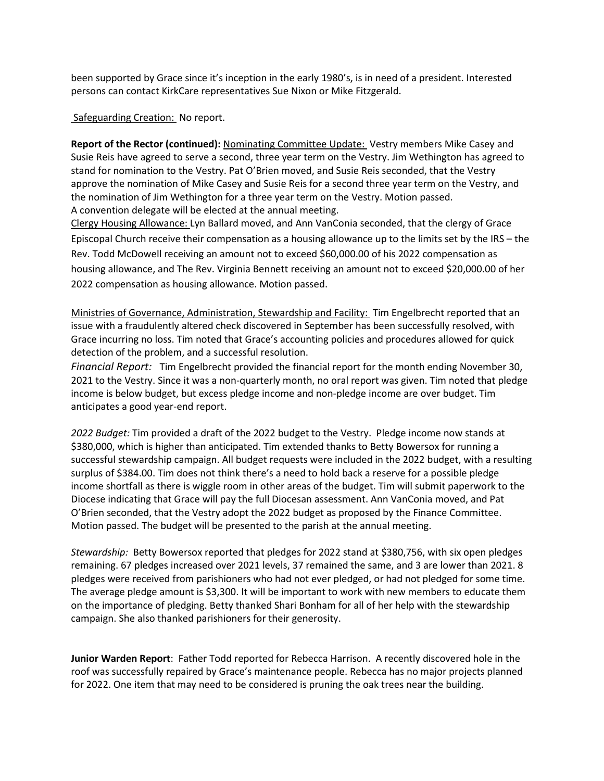been supported by Grace since it's inception in the early 1980's, is in need of a president. Interested persons can contact KirkCare representatives Sue Nixon or Mike Fitzgerald.

Safeguarding Creation: No report.

**Report of the Rector (continued):** Nominating Committee Update: Vestry members Mike Casey and Susie Reis have agreed to serve a second, three year term on the Vestry. Jim Wethington has agreed to stand for nomination to the Vestry. Pat O'Brien moved, and Susie Reis seconded, that the Vestry approve the nomination of Mike Casey and Susie Reis for a second three year term on the Vestry, and the nomination of Jim Wethington for a three year term on the Vestry. Motion passed. A convention delegate will be elected at the annual meeting.

Clergy Housing Allowance: Lyn Ballard moved, and Ann VanConia seconded, that the clergy of Grace Episcopal Church receive their compensation as a housing allowance up to the limits set by the IRS – the Rev. Todd McDowell receiving an amount not to exceed \$60,000.00 of his 2022 compensation as housing allowance, and The Rev. Virginia Bennett receiving an amount not to exceed \$20,000.00 of her 2022 compensation as housing allowance. Motion passed.

Ministries of Governance, Administration, Stewardship and Facility: Tim Engelbrecht reported that an issue with a fraudulently altered check discovered in September has been successfully resolved, with Grace incurring no loss. Tim noted that Grace's accounting policies and procedures allowed for quick detection of the problem, and a successful resolution.

*Financial Report:* Tim Engelbrecht provided the financial report for the month ending November 30, 2021 to the Vestry. Since it was a non-quarterly month, no oral report was given. Tim noted that pledge income is below budget, but excess pledge income and non-pledge income are over budget. Tim anticipates a good year-end report.

*2022 Budget:* Tim provided a draft of the 2022 budget to the Vestry. Pledge income now stands at \$380,000, which is higher than anticipated. Tim extended thanks to Betty Bowersox for running a successful stewardship campaign. All budget requests were included in the 2022 budget, with a resulting surplus of \$384.00. Tim does not think there's a need to hold back a reserve for a possible pledge income shortfall as there is wiggle room in other areas of the budget. Tim will submit paperwork to the Diocese indicating that Grace will pay the full Diocesan assessment. Ann VanConia moved, and Pat O'Brien seconded, that the Vestry adopt the 2022 budget as proposed by the Finance Committee. Motion passed. The budget will be presented to the parish at the annual meeting.

*Stewardship:* Betty Bowersox reported that pledges for 2022 stand at \$380,756, with six open pledges remaining. 67 pledges increased over 2021 levels, 37 remained the same, and 3 are lower than 2021. 8 pledges were received from parishioners who had not ever pledged, or had not pledged for some time. The average pledge amount is \$3,300. It will be important to work with new members to educate them on the importance of pledging. Betty thanked Shari Bonham for all of her help with the stewardship campaign. She also thanked parishioners for their generosity.

**Junior Warden Report**: Father Todd reported for Rebecca Harrison. A recently discovered hole in the roof was successfully repaired by Grace's maintenance people. Rebecca has no major projects planned for 2022. One item that may need to be considered is pruning the oak trees near the building.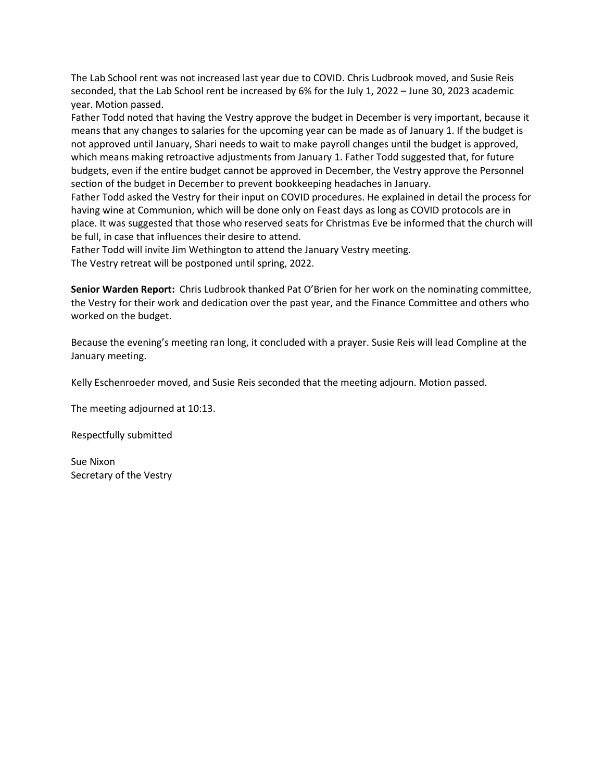The Lab School rent was not increased last year due to COVID. Chris Ludbrook moved, and Susie Reis seconded, that the Lab School rent be increased by 6% for the July 1, 2022 – June 30, 2023 academic year. Motion passed.

Father Todd noted that having the Vestry approve the budget in December is very important, because it means that any changes to salaries for the upcoming year can be made as of January 1. If the budget is not approved until January, Shari needs to wait to make payroll changes until the budget is approved, which means making retroactive adjustments from January 1. Father Todd suggested that, for future budgets, even if the entire budget cannot be approved in December, the Vestry approve the Personnel section of the budget in December to prevent bookkeeping headaches in January.

Father Todd asked the Vestry for their input on COVID procedures. He explained in detail the process for having wine at Communion, which will be done only on Feast days as long as COVID protocols are in place. It was suggested that those who reserved seats for Christmas Eve be informed that the church will be full, in case that influences their desire to attend.

Father Todd will invite Jim Wethington to attend the January Vestry meeting. The Vestry retreat will be postponed until spring, 2022.

**Senior Warden Report:** Chris Ludbrook thanked Pat O'Brien for her work on the nominating committee, the Vestry for their work and dedication over the past year, and the Finance Committee and others who worked on the budget.

Because the evening's meeting ran long, it concluded with a prayer. Susie Reis will lead Compline at the January meeting.

Kelly Eschenroeder moved, and Susie Reis seconded that the meeting adjourn. Motion passed.

The meeting adjourned at 10:13.

Respectfully submitted

Sue Nixon Secretary of the Vestry